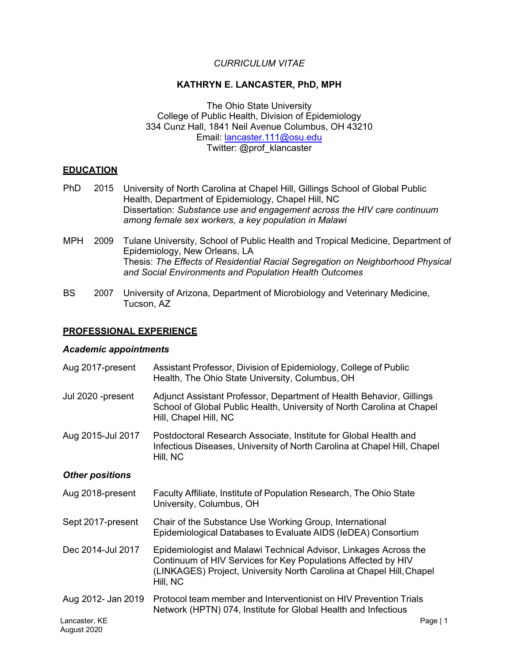# *CURRICULUM VITAE*

#### **KATHRYN E. LANCASTER, PhD, MPH**

The Ohio State University College of Public Health, Division of Epidemiology 334 Cunz Hall, 1841 Neil Avenue Columbus, OH 43210 Email: [lancaster.111@osu.edu](mailto:lancaster.111@osu.edu) Twitter: @prof\_klancaster

### **EDUCATION**

- PhD 2015 University of North Carolina at Chapel Hill, Gillings School of Global Public Health, Department of Epidemiology, Chapel Hill, NC Dissertation: *Substance use and engagement across the HIV care continuum among female sex workers, a key population in Malawi*
- MPH 2009 Tulane University, School of Public Health and Tropical Medicine, Department of Epidemiology, New Orleans, LA Thesis: *The Effects of Residential Racial Segregation on Neighborhood Physical and Social Environments and Population Health Outcomes*
- BS 2007 University of Arizona, Department of Microbiology and Veterinary Medicine, Tucson, AZ

### **PROFESSIONAL EXPERIENCE**

#### *Academic appointments*

| Aug 2017-present                    | Assistant Professor, Division of Epidemiology, College of Public<br>Health, The Ohio State University, Columbus, OH                                                                                                   |
|-------------------------------------|-----------------------------------------------------------------------------------------------------------------------------------------------------------------------------------------------------------------------|
| Jul 2020 -present                   | Adjunct Assistant Professor, Department of Health Behavior, Gillings<br>School of Global Public Health, University of North Carolina at Chapel<br>Hill, Chapel Hill, NC                                               |
| Aug 2015-Jul 2017                   | Postdoctoral Research Associate, Institute for Global Health and<br>Infectious Diseases, University of North Carolina at Chapel Hill, Chapel<br>Hill, NC                                                              |
| <b>Other positions</b>              |                                                                                                                                                                                                                       |
| Aug 2018-present                    | Faculty Affiliate, Institute of Population Research, The Ohio State<br>University, Columbus, OH                                                                                                                       |
| Sept 2017-present                   | Chair of the Substance Use Working Group, International<br>Epidemiological Databases to Evaluate AIDS (IeDEA) Consortium                                                                                              |
| Dec 2014-Jul 2017                   | Epidemiologist and Malawi Technical Advisor, Linkages Across the<br>Continuum of HIV Services for Key Populations Affected by HIV<br>(LINKAGES) Project, University North Carolina at Chapel Hill, Chapel<br>Hill, NC |
| Aug 2012- Jan 2019<br>Lancaster, KE | Protocol team member and Interventionist on HIV Prevention Trials<br>Network (HPTN) 074, Institute for Global Health and Infectious<br>Page   1                                                                       |
| August 2020                         |                                                                                                                                                                                                                       |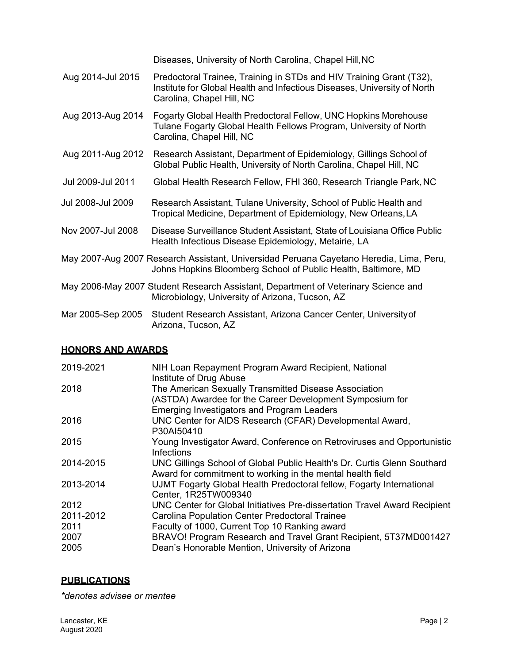Diseases, University of North Carolina, Chapel Hill,NC

- Aug 2014-Jul 2015 Predoctoral Trainee, Training in STDs and HIV Training Grant (T32), Institute for Global Health and Infectious Diseases, University of North Carolina, Chapel Hill, NC
- Aug 2013-Aug 2014 Fogarty Global Health Predoctoral Fellow, UNC Hopkins Morehouse Tulane Fogarty Global Health Fellows Program, University of North Carolina, Chapel Hill, NC
- Aug 2011-Aug 2012 Research Assistant, Department of Epidemiology, Gillings School of Global Public Health, University of North Carolina, Chapel Hill, NC
- Jul 2009-Jul 2011 Global Health Research Fellow, FHI 360, Research Triangle Park,NC
- Jul 2008-Jul 2009 Research Assistant, Tulane University, School of Public Health and Tropical Medicine, Department of Epidemiology, New Orleans,LA
- Nov 2007-Jul 2008 Disease Surveillance Student Assistant, State of Louisiana Office Public Health Infectious Disease Epidemiology, Metairie, LA
- May 2007-Aug 2007 Research Assistant, Universidad Peruana Cayetano Heredia, Lima, Peru, Johns Hopkins Bloomberg School of Public Health, Baltimore, MD
- May 2006-May 2007 Student Research Assistant, Department of Veterinary Science and Microbiology, University of Arizona, Tucson, AZ
- Mar 2005-Sep 2005 Student Research Assistant, Arizona Cancer Center, Universityof Arizona, Tucson, AZ

# **HONORS AND AWARDS**

| 2019-2021 | NIH Loan Repayment Program Award Recipient, National<br>Institute of Drug Abuse |
|-----------|---------------------------------------------------------------------------------|
| 2018      | The American Sexually Transmitted Disease Association                           |
|           | (ASTDA) Awardee for the Career Development Symposium for                        |
|           | <b>Emerging Investigators and Program Leaders</b>                               |
| 2016      | UNC Center for AIDS Research (CFAR) Developmental Award,                        |
|           | P30AI50410                                                                      |
| 2015      | Young Investigator Award, Conference on Retroviruses and Opportunistic          |
|           | Infections                                                                      |
| 2014-2015 | UNC Gillings School of Global Public Health's Dr. Curtis Glenn Southard         |
|           | Award for commitment to working in the mental health field                      |
| 2013-2014 | UJMT Fogarty Global Health Predoctoral fellow, Fogarty International            |
|           | Center, 1R25TW009340                                                            |
| 2012      | UNC Center for Global Initiatives Pre-dissertation Travel Award Recipient       |
| 2011-2012 | Carolina Population Center Predoctoral Trainee                                  |
| 2011      | Faculty of 1000, Current Top 10 Ranking award                                   |
| 2007      | BRAVO! Program Research and Travel Grant Recipient, 5T37MD001427                |
| 2005      | Dean's Honorable Mention, University of Arizona                                 |
|           |                                                                                 |

# **PUBLICATIONS**

*\*denotes advisee or mentee*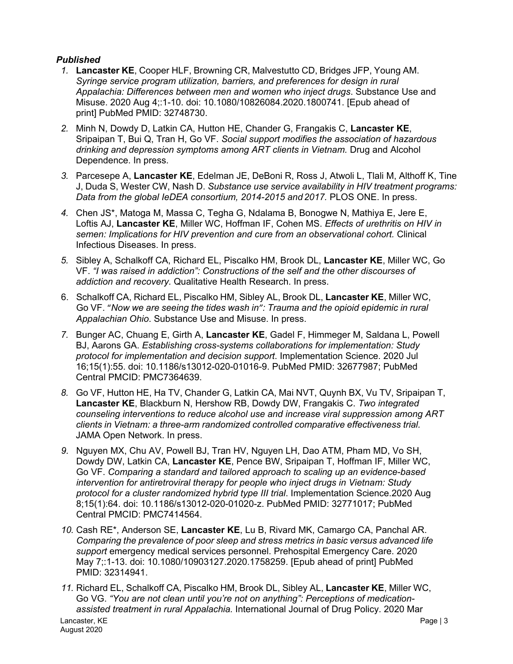# *Published*

- *1.* **Lancaster KE**, Cooper HLF, Browning CR, Malvestutto CD, Bridges JFP, Young AM. *Syringe service program utilization, barriers, and preferences for design in rural Appalachia: Differences between men and women who inject drugs*. Substance Use and Misuse. 2020 Aug 4;:1-10. doi: 10.1080/10826084.2020.1800741. [Epub ahead of print] PubMed PMID: 32748730.
- *2.* Minh N, Dowdy D, Latkin CA, Hutton HE, Chander G, Frangakis C, **Lancaster KE**, Sripaipan T, Bui Q, Tran H, Go VF. *Social support modifies the association of hazardous drinking and depression symptoms among ART clients in Vietnam.* Drug and Alcohol Dependence. In press.
- *3.* Parcesepe A, **Lancaster KE**, Edelman JE, DeBoni R, Ross J, Atwoli L, Tlali M, Althoff K, Tine J, Duda S, Wester CW, Nash D. *Substance use service availability in HIV treatment programs: Data from the global IeDEA consortium, 2014-2015 and 2017.* PLOS ONE. In press.
- *4.* Chen JS\*, Matoga M, Massa C, Tegha G, Ndalama B, Bonogwe N, Mathiya E, Jere E, Loftis AJ, **Lancaster KE**, Miller WC, Hoffman IF, Cohen MS. *Effects of urethritis on HIV in semen: Implications for HIV prevention and cure from an observational cohort.* Clinical Infectious Diseases. In press.
- *5.* Sibley A, Schalkoff CA, Richard EL, Piscalko HM, Brook DL, **Lancaster KE**, Miller WC, Go VF. *"I was raised in addiction": Constructions of the self and the other discourses of addiction and recovery.* Qualitative Health Research. In press.
- 6. Schalkoff CA, Richard EL, Piscalko HM, Sibley AL, Brook DL, **Lancaster KE**, Miller WC, Go VF. "*Now we are seeing the tides wash in": Trauma and the opioid epidemic in rural Appalachian Ohio*. Substance Use and Misuse. In press.
- *7.* Bunger AC, Chuang E, Girth A, **Lancaster KE**, Gadel F, Himmeger M, Saldana L, Powell BJ, Aarons GA. *Establishing cross-systems collaborations for implementation: Study protocol for implementation and decision support*. Implementation Science. 2020 Jul 16;15(1):55. doi: 10.1186/s13012-020-01016-9. PubMed PMID: 32677987; PubMed Central PMCID: PMC7364639.
- *8.* Go VF, Hutton HE, Ha TV, Chander G, Latkin CA, Mai NVT, Quynh BX, Vu TV, Sripaipan T, **Lancaster KE**, Blackburn N, Hershow RB, Dowdy DW, Frangakis C. *Two integrated counseling interventions to reduce alcohol use and increase viral suppression among ART clients in Vietnam: a three-arm randomized controlled comparative effectiveness trial.* JAMA Open Network. In press.
- *9.* Nguyen MX, Chu AV, Powell BJ, Tran HV, Nguyen LH, Dao ATM, Pham MD, Vo SH, Dowdy DW, Latkin CA, **Lancaster KE**, Pence BW, Sripaipan T, Hoffman IF, Miller WC, Go VF. *Comparing a standard and tailored approach to scaling up an evidence-based intervention for antiretroviral therapy for people who inject drugs in Vietnam: Study protocol for a cluster randomized hybrid type III trial*. Implementation Science.2020 Aug 8;15(1):64. doi: 10.1186/s13012-020-01020-z. PubMed PMID: 32771017; PubMed Central PMCID: PMC7414564.
- *10.* Cash RE\*, Anderson SE, **Lancaster KE**, Lu B, Rivard MK, Camargo CA, Panchal AR. *Comparing the prevalence of poor sleep and stress metrics in basic versus advanced life support* emergency medical services personnel. Prehospital Emergency Care. 2020 May 7;:1-13. doi: 10.1080/10903127.2020.1758259. [Epub ahead of print] PubMed PMID: 32314941.
- *11.* Richard EL, Schalkoff CA, Piscalko HM, Brook DL, Sibley AL, **Lancaster KE**, Miller WC, Go VG. *"You are not clean until you're not on anything": Perceptions of medicationassisted treatment in rural Appalachia.* International Journal of Drug Policy. 2020 Mar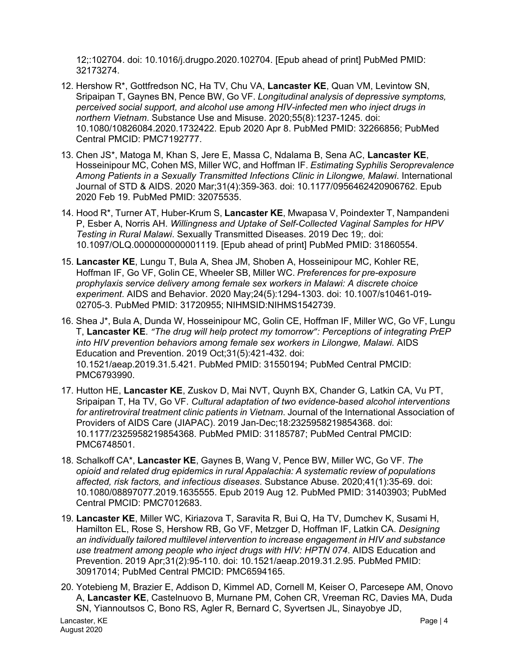12;:102704. doi: 10.1016/j.drugpo.2020.102704. [Epub ahead of print] PubMed PMID: 32173274.

- 12. Hershow R\*, Gottfredson NC, Ha TV, Chu VA, **Lancaster KE**, Quan VM, Levintow SN, Sripaipan T, Gaynes BN, Pence BW, Go VF. *Longitudinal analysis of depressive symptoms, perceived social support, and alcohol use among HIV-infected men who inject drugs in northern Vietnam*. Substance Use and Misuse. 2020;55(8):1237-1245. doi: 10.1080/10826084.2020.1732422. Epub 2020 Apr 8. PubMed PMID: 32266856; PubMed Central PMCID: PMC7192777.
- 13. Chen JS\*, Matoga M, Khan S, Jere E, Massa C, Ndalama B, Sena AC, **Lancaster KE**, Hosseinipour MC, Cohen MS, Miller WC, and Hoffman IF. *Estimating Syphilis Seroprevalence Among Patients in a Sexually Transmitted Infections Clinic in Lilongwe, Malawi*. International Journal of STD & AIDS. 2020 Mar;31(4):359-363. doi: 10.1177/0956462420906762. Epub 2020 Feb 19. PubMed PMID: 32075535.
- 14. Hood R\*, Turner AT, Huber-Krum S, **Lancaster KE**, Mwapasa V, Poindexter T, Nampandeni P, Esber A, Norris AH. *Willingness and Uptake of Self-Collected Vaginal Samples for HPV Testing in Rural Malawi*. Sexually Transmitted Diseases. 2019 Dec 19;. doi: 10.1097/OLQ.0000000000001119. [Epub ahead of print] PubMed PMID: 31860554.
- 15. **Lancaster KE**, Lungu T, Bula A, Shea JM, Shoben A, Hosseinipour MC, Kohler RE, Hoffman IF, Go VF, Golin CE, Wheeler SB, Miller WC. *Preferences for pre-exposure prophylaxis service delivery among female sex workers in Malawi: A discrete choice experiment*. AIDS and Behavior. 2020 May;24(5):1294-1303. doi: 10.1007/s10461-019- 02705-3. PubMed PMID: 31720955; NIHMSID:NIHMS1542739.
- 16. Shea J\*, Bula A, Dunda W, Hosseinipour MC, Golin CE, Hoffman IF, Miller WC, Go VF, Lungu T, **Lancaster KE**. *"The drug will help protect my tomorrow": Perceptions of integrating PrEP into HIV prevention behaviors among female sex workers in Lilongwe, Malawi, AIDS* Education and Prevention. 2019 Oct;31(5):421-432. doi: 10.1521/aeap.2019.31.5.421. PubMed PMID: 31550194; PubMed Central PMCID: PMC6793990.
- 17. Hutton HE, **Lancaster KE**, Zuskov D, Mai NVT, Quynh BX, Chander G, Latkin CA, Vu PT, Sripaipan T, Ha TV, Go VF. *Cultural adaptation of two evidence-based alcohol interventions for antiretroviral treatment clinic patients in Vietnam*. Journal of the International Association of Providers of AIDS Care (JIAPAC). 2019 Jan-Dec;18:2325958219854368. doi: 10.1177/2325958219854368. PubMed PMID: 31185787; PubMed Central PMCID: PMC6748501.
- 18. Schalkoff CA\*, **Lancaster KE**, Gaynes B, Wang V, Pence BW, Miller WC, Go VF. *The opioid and related drug epidemics in rural Appalachia: A systematic review of populations affected, risk factors, and infectious diseases*. Substance Abuse. 2020;41(1):35-69. doi: 10.1080/08897077.2019.1635555. Epub 2019 Aug 12. PubMed PMID: 31403903; PubMed Central PMCID: PMC7012683.
- 19. **Lancaster KE**, Miller WC, Kiriazova T, Saravita R, Bui Q, Ha TV, Dumchev K, Susami H, Hamilton EL, Rose S, Hershow RB, Go VF, Metzger D, Hoffman IF, Latkin CA. *Designing an individually tailored multilevel intervention to increase engagement in HIV and substance use treatment among people who inject drugs with HIV: HPTN 074*. AIDS Education and Prevention. 2019 Apr;31(2):95-110. doi: 10.1521/aeap.2019.31.2.95. PubMed PMID: 30917014; PubMed Central PMCID: PMC6594165.
- 20. Yotebieng M, Brazier E, Addison D, Kimmel AD, Cornell M, Keiser O, Parcesepe AM, Onovo A, **Lancaster KE**, Castelnuovo B, Murnane PM, Cohen CR, Vreeman RC, Davies MA, Duda SN, Yiannoutsos C, Bono RS, Agler R, Bernard C, Syvertsen JL, Sinayobye JD,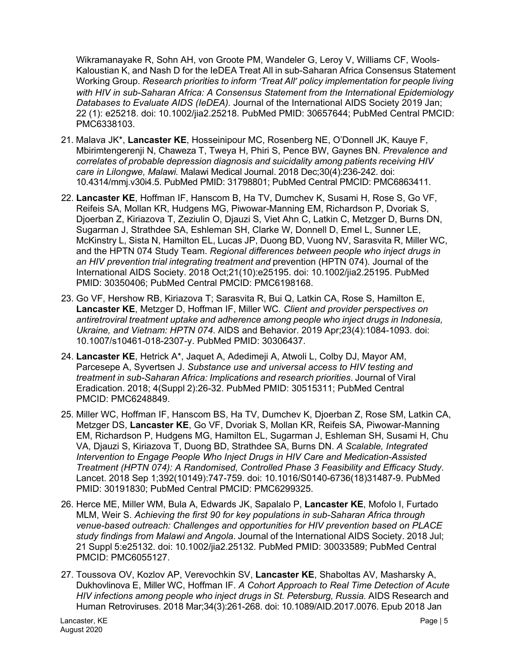Wikramanayake R, Sohn AH, von Groote PM, Wandeler G, Leroy V, Williams CF, Wools-Kaloustian K, and Nash D for the IeDEA Treat All in sub-Saharan Africa Consensus Statement Working Group. *Research priorities to inform 'Treat All' policy implementation for people living with HIV in sub-Saharan Africa: A Consensus Statement from the International Epidemiology Databases to Evaluate AIDS (IeDEA).* Journal of the International AIDS Society 2019 Jan; 22 (1): e25218. doi: 10.1002/jia2.25218. PubMed PMID: 30657644; PubMed Central PMCID: PMC6338103.

- 21. Malava JK\*, **Lancaster KE**, Hosseinipour MC, Rosenberg NE, O'Donnell JK, Kauye F, Mbirimtengerenji N, Chaweza T, Tweya H, Phiri S, Pence BW, Gaynes BN. *Prevalence and correlates of probable depression diagnosis and suicidality among patients receiving HIV care in Lilongwe, Malawi.* Malawi Medical Journal. 2018 Dec;30(4):236-242. doi: 10.4314/mmj.v30i4.5. PubMed PMID: 31798801; PubMed Central PMCID: PMC6863411.
- 22. **Lancaster KE**, Hoffman IF, Hanscom B, Ha TV, Dumchev K, Susami H, Rose S, Go VF, Reifeis SA, Mollan KR, Hudgens MG, Piwowar-Manning EM, Richardson P, Dvoriak S, Djoerban Z, Kiriazova T, Zeziulin O, Djauzi S, Viet Ahn C, Latkin C, Metzger D, Burns DN, Sugarman J, Strathdee SA, Eshleman SH, Clarke W, Donnell D, Emel L, Sunner LE, McKinstry L, Sista N, Hamilton EL, Lucas JP, Duong BD, Vuong NV, Sarasvita R, Miller WC, and the HPTN 074 Study Team. *Regional differences between people who inject drugs in an HIV prevention trial integrating treatment and* prevention (HPTN 074). Journal of the International AIDS Society. 2018 Oct;21(10):e25195. doi: 10.1002/jia2.25195. PubMed PMID: 30350406; PubMed Central PMCID: PMC6198168.
- 23. Go VF, Hershow RB, Kiriazova T; Sarasvita R, Bui Q, Latkin CA, Rose S, Hamilton E, **Lancaster KE**, Metzger D, Hoffman IF, Miller WC*. Client and provider perspectives on antiretroviral treatment uptake and adherence among people who inject drugs in Indonesia, Ukraine, and Vietnam: HPTN 074*. AIDS and Behavior. 2019 Apr;23(4):1084-1093. doi: 10.1007/s10461-018-2307-y. PubMed PMID: 30306437.
- 24. **Lancaster KE**, Hetrick A\*, Jaquet A, Adedimeji A, Atwoli L, Colby DJ, Mayor AM, Parcesepe A, Syvertsen J. *Substance use and universal access to HIV testing and treatment in sub-Saharan Africa: Implications and research priorities*. Journal of Viral Eradication. 2018; 4(Suppl 2):26-32. PubMed PMID: 30515311; PubMed Central PMCID: PMC6248849.
- 25. Miller WC, Hoffman IF, Hanscom BS, Ha TV, Dumchev K, Djoerban Z, Rose SM, Latkin CA, Metzger DS, **Lancaster KE**, Go VF, Dvoriak S, Mollan KR, Reifeis SA, Piwowar-Manning EM, Richardson P, Hudgens MG, Hamilton EL, Sugarman J, Eshleman SH, Susami H, Chu VA, Djauzi S, Kiriazova T, Duong BD, Strathdee SA, Burns DN. *A Scalable, Integrated Intervention to Engage People Who Inject Drugs in HIV Care and Medication-Assisted Treatment (HPTN 074): A Randomised, Controlled Phase 3 Feasibility and Efficacy Study*. Lancet. 2018 Sep 1;392(10149):747-759. doi: 10.1016/S0140-6736(18)31487-9. PubMed PMID: 30191830; PubMed Central PMCID: PMC6299325.
- 26. Herce ME, Miller WM, Bula A, Edwards JK, Sapalalo P, **Lancaster KE**, Mofolo I, Furtado MLM, Weir S. *Achieving the first 90 for key populations in sub-Saharan Africa through venue-based outreach: Challenges and opportunities for HIV prevention based on PLACE study findings from Malawi and Angola*. Journal of the International AIDS Society. 2018 Jul; 21 Suppl 5:e25132. doi: 10.1002/jia2.25132. PubMed PMID: 30033589; PubMed Central PMCID: PMC6055127.
- 27. Toussova OV, Kozlov AP, Verevochkin SV, **Lancaster KE**, Shaboltas AV, Masharsky A, Dukhovlinova E, Miller WC, Hoffman IF. *A Cohort Approach to Real Time Detection of Acute HIV infections among people who inject drugs in St. Petersburg, Russia.* AIDS Research and Human Retroviruses. 2018 Mar;34(3):261-268. doi: 10.1089/AID.2017.0076. Epub 2018 Jan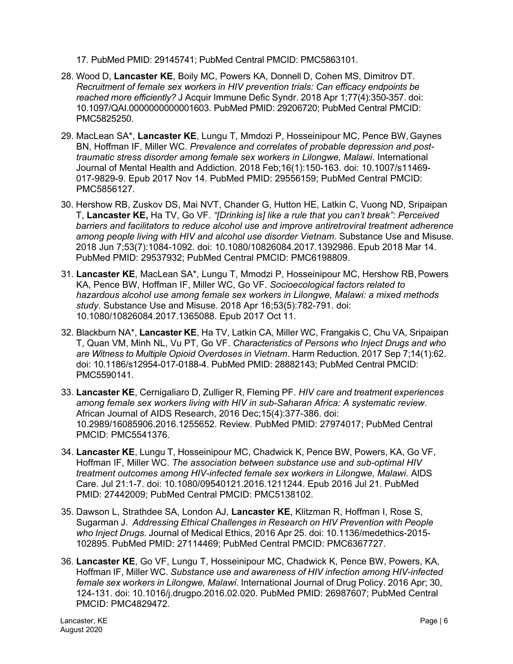17. PubMed PMID: 29145741; PubMed Central PMCID: PMC5863101.

- 28. Wood D, **Lancaster KE**, Boily MC, Powers KA, Donnell D, Cohen MS, Dimitrov DT. *Recruitment of female sex workers in HIV prevention trials: Can efficacy endpoints be reached more efficiently?* J Acquir Immune Defic Syndr. 2018 Apr 1;77(4):350-357. doi: 10.1097/QAI.0000000000001603. PubMed PMID: 29206720; PubMed Central PMCID: PMC5825250.
- 29. MacLean SA\*, **Lancaster KE**, Lungu T, Mmdozi P, Hosseinipour MC, Pence BW, Gaynes BN, Hoffman IF, Miller WC. *Prevalence and correlates of probable depression and posttraumatic stress disorder among female sex workers in Lilongwe, Malawi*. International Journal of Mental Health and Addiction. 2018 Feb;16(1):150-163. doi: 10.1007/s11469- 017-9829-9. Epub 2017 Nov 14. PubMed PMID: 29556159; PubMed Central PMCID: PMC5856127.
- 30. Hershow RB, Zuskov DS, Mai NVT, Chander G, Hutton HE, Latkin C, Vuong ND, Sripaipan T, **Lancaster KE,** Ha TV, Go VF. *"[Drinking is] like a rule that you can't break": Perceived barriers and facilitators to reduce alcohol use and improve antiretroviral treatment adherence among people living with HIV and alcohol use disorder Vietnam*. Substance Use and Misuse. 2018 Jun 7;53(7):1084-1092. doi: 10.1080/10826084.2017.1392986. Epub 2018 Mar 14. PubMed PMID: 29537932; PubMed Central PMCID: PMC6198809.
- 31. **Lancaster KE**, MacLean SA\*, Lungu T, Mmodzi P, Hosseinipour MC, Hershow RB,Powers KA, Pence BW, Hoffman IF, Miller WC, Go VF. *Socioecological factors related to hazardous alcohol use among female sex workers in Lilongwe, Malawi: a mixed methods study*. Substance Use and Misuse. 2018 Apr 16;53(5):782-791. doi: 10.1080/10826084.2017.1365088. Epub 2017 Oct 11.
- 32. Blackburn NA\*, **Lancaster KE**, Ha TV, Latkin CA, Miller WC, Frangakis C, Chu VA, Sripaipan T, Quan VM, Minh NL, Vu PT, Go VF. *Characteristics of Persons who Inject Drugs and who are Witness to Multiple Opioid Overdoses in Vietnam*. Harm Reduction. 2017 Sep 7;14(1):62. doi: 10.1186/s12954-017-0188-4. PubMed PMID: 28882143; PubMed Central PMCID: PMC5590141.
- 33. **Lancaster KE**, Cernigaliaro D, Zulliger R, Fleming PF. *HIV care and treatment experiences among female sex workers living with HIV in sub-Saharan Africa: A systematic review*. African Journal of AIDS Research, 2016 Dec;15(4):377-386. doi: 10.2989/16085906.2016.1255652. Review. PubMed PMID: 27974017; PubMed Central PMCID: PMC5541376.
- 34. **Lancaster KE**, Lungu T, Hosseinipour MC, Chadwick K, Pence BW, Powers, KA, Go VF, Hoffman IF, Miller WC. *The association between substance use and sub-optimal HIV treatment outcomes among HIV-infected female sex workers in Lilongwe, Malawi*. AIDS Care. Jul 21:1-7. doi: 10.1080/09540121.2016.1211244. Epub 2016 Jul 21. PubMed PMID: 27442009; PubMed Central PMCID: PMC5138102.
- 35. Dawson L, Strathdee SA, London AJ, **Lancaster KE**, Klitzman R, Hoffman I, Rose S, Sugarman J. *Addressing Ethical Challenges in Research on HIV Prevention with People who Inject Drugs*. Journal of Medical Ethics, 2016 Apr 25. doi: 10.1136/medethics-2015- 102895. PubMed PMID: 27114469; PubMed Central PMCID: PMC6367727.
- 36. **Lancaster KE**, Go VF, Lungu T, Hosseinipour MC, Chadwick K, Pence BW, Powers, KA, Hoffman IF, Miller WC. *Substance use and awareness of HIV infection among HIV-infected female sex workers in Lilongwe, Malawi*. International Journal of Drug Policy. 2016 Apr; 30, 124-131. doi: 10.1016/j.drugpo.2016.02.020. PubMed PMID: 26987607; PubMed Central PMCID: PMC4829472.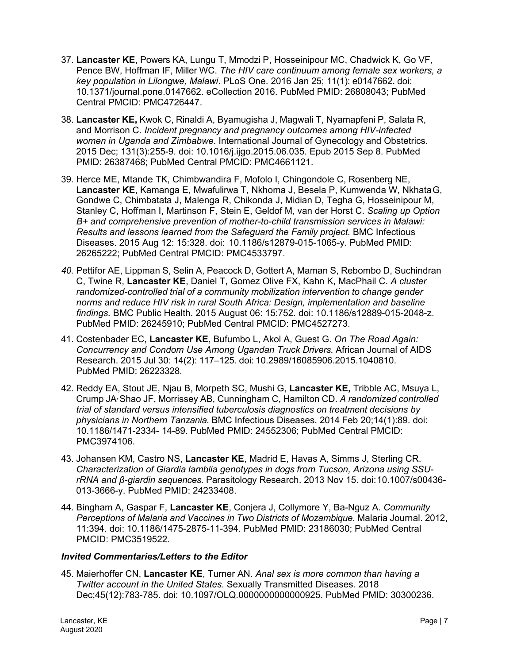- 37. **Lancaster KE**, Powers KA, Lungu T, Mmodzi P, Hosseinipour MC, Chadwick K, Go VF, Pence BW, Hoffman IF, Miller WC. *The HIV care continuum among female sex workers, a key population in Lilongwe, Malawi*. PLoS One. 2016 Jan 25; 11(1): e0147662. doi: 10.1371/journal.pone.0147662. eCollection 2016. PubMed PMID: 26808043; PubMed Central PMCID: PMC4726447.
- 38. **Lancaster KE,** Kwok C, Rinaldi A, Byamugisha J, Magwali T, Nyamapfeni P, Salata R, and Morrison C. *Incident pregnancy and pregnancy outcomes among HIV-infected women in Uganda and Zimbabwe*. International Journal of Gynecology and Obstetrics. 2015 Dec; 131(3):255-9. doi: 10.1016/j.ijgo.2015.06.035. Epub 2015 Sep 8. PubMed PMID: 26387468; PubMed Central PMCID: PMC4661121.
- 39. Herce ME, Mtande TK, Chimbwandira F, Mofolo I, Chingondole C, Rosenberg NE, **Lancaster KE**, Kamanga E, Mwafulirwa T, Nkhoma J, Besela P, Kumwenda W, NkhataG, Gondwe C, Chimbatata J, Malenga R, Chikonda J, Midian D, Tegha G, Hosseinipour M, Stanley C, Hoffman I, Martinson F, Stein E, Geldof M, van der Horst C. *Scaling up Option B+ and comprehensive prevention of mother-to-child transmission services in Malawi: Results and lessons learned from the Safeguard the Family project.* BMC Infectious Diseases. 2015 Aug 12: 15:328. doi: 10.1186/s12879-015-1065-y. PubMed PMID: 26265222; PubMed Central PMCID: PMC4533797.
- *40.* Pettifor AE, Lippman S, Selin A, Peacock D, Gottert A, Maman S, Rebombo D, Suchindran C, Twine R, **Lancaster KE**, Daniel T, Gomez Olive FX, Kahn K, MacPhail C. *A cluster randomized-controlled trial of a community mobilization intervention to change gender norms and reduce HIV risk in rural South Africa: Design, implementation and baseline findings.* BMC Public Health. 2015 August 06: 15:752. doi: 10.1186/s12889-015-2048-z. PubMed PMID: 26245910; PubMed Central PMCID: PMC4527273.
- 41. Costenbader EC, **Lancaster KE**, Bufumbo L, Akol A, Guest G. *On The Road Again: Concurrency and Condom Use Among Ugandan Truck Drivers.* African Journal of AIDS Research. 2015 Jul 30: 14(2): 117–125. doi: 10.2989/16085906.2015.1040810. PubMed PMID: 26223328.
- 42. Reddy EA, Stout JE, Njau B, Morpeth SC, Mushi G, **Lancaster KE,** Tribble AC, Msuya L, Crump JA, Shao JF, Morrissey AB, Cunningham C, Hamilton CD. *A randomized controlled trial of standard versus intensified tuberculosis diagnostics on treatment decisions by physicians in Northern Tanzania.* BMC Infectious Diseases. 2014 Feb 20;14(1):89. doi: 10.1186/1471-2334- 14-89. PubMed PMID: 24552306; PubMed Central PMCID: PMC3974106.
- 43. Johansen KM, Castro NS, **Lancaster KE**, Madrid E, Havas A, Simms J, Sterling CR. *Characterization of Giardia lamblia genotypes in dogs from Tucson, Arizona using SSUrRNA and β-giardin sequences.* Parasitology Research. 2013 Nov 15. doi:10.1007/s00436- 013-3666-y. PubMed PMID: 24233408.
- 44. Bingham A, Gaspar F, **Lancaster KE**, Conjera J, Collymore Y, Ba-Nguz A. *Community Perceptions of Malaria and Vaccines in Two Districts of Mozambique.* Malaria Journal. 2012, 11:394. doi: 10.1186/1475-2875-11-394. PubMed PMID: 23186030; PubMed Central PMCID: PMC3519522.

# *Invited Commentaries/Letters to the Editor*

45. Maierhoffer CN, **Lancaster KE**, Turner AN. *Anal sex is more common than having a Twitter account in the United States.* Sexually Transmitted Diseases. 2018 Dec;45(12):783-785. doi: 10.1097/OLQ.0000000000000925. PubMed PMID: 30300236.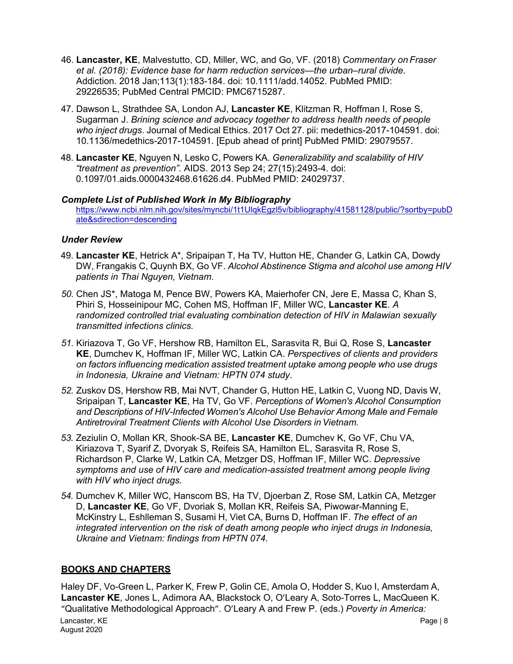- 46. **Lancaster, KE**, Malvestutto, CD, Miller, WC, and Go, VF. (2018) *Commentary on Fraser et al. (2018): Evidence base for harm reduction services—the urban–rural divide*. Addiction. 2018 Jan;113(1):183-184. doi: 10.1111/add.14052. PubMed PMID: 29226535; PubMed Central PMCID: PMC6715287.
- 47. Dawson L, Strathdee SA, London AJ, **Lancaster KE**, Klitzman R, Hoffman I, Rose S, Sugarman J. *Brining science and advocacy together to address health needs of people who inject drugs*. Journal of Medical Ethics. 2017 Oct 27. pii: medethics-2017-104591. doi: 10.1136/medethics-2017-104591. [Epub ahead of print] PubMed PMID: 29079557.
- 48. **Lancaster KE**, Nguyen N, Lesko C, Powers KA. *Generalizability and scalability of HIV "treatment as prevention".* AIDS. 2013 Sep 24; 27(15):2493-4. doi: 0.1097/01.aids.0000432468.61626.d4. PubMed PMID: 24029737.

# *Complete List of Published Work in My Bibliography*

[https://www.ncbi.nlm.nih.gov/sites/myncbi/1t1UlqkEgzl5v/bibliography/41581128/public/?sortby=pubD](https://www.ncbi.nlm.nih.gov/sites/myncbi/1t1UlqkEgzl5v/bibliography/41581128/public/?sortby=pubDate&sdirection=descending) [ate&sdirection=descending](https://www.ncbi.nlm.nih.gov/sites/myncbi/1t1UlqkEgzl5v/bibliography/41581128/public/?sortby=pubDate&sdirection=descending)

# *Under Review*

- 49. **Lancaster KE**, Hetrick A\*, Sripaipan T, Ha TV, Hutton HE, Chander G, Latkin CA, Dowdy DW, Frangakis C, Quynh BX, Go VF. *Alcohol Abstinence Stigma and alcohol use among HIV patients in Thai Nguyen, Vietnam*.
- *50.* Chen JS\*, Matoga M, Pence BW, Powers KA, Maierhofer CN, Jere E, Massa C, Khan S, Phiri S, Hosseinipour MC, Cohen MS, Hoffman IF, Miller WC, **Lancaster KE**. *A randomized controlled trial evaluating combination detection of HIV in Malawian sexually transmitted infections clinics.*
- *51.* Kiriazova T, Go VF, Hershow RB, Hamilton EL, Sarasvita R, Bui Q, Rose S, **Lancaster KE**, Dumchev K, Hoffman IF, Miller WC, Latkin CA. *Perspectives of clients and providers on factors influencing medication assisted treatment uptake among people who use drugs in Indonesia, Ukraine and Vietnam: HPTN 074 study*.
- *52.* Zuskov DS, Hershow RB, Mai NVT, Chander G, Hutton HE, Latkin C, Vuong ND, Davis W, Sripaipan T, **Lancaster KE**, Ha TV, Go VF. *Perceptions of Women's Alcohol Consumption and Descriptions of HIV-Infected Women's Alcohol Use Behavior Among Male and Female Antiretroviral Treatment Clients with Alcohol Use Disorders inVietnam.*
- *53.* Zeziulin O, Mollan KR, Shook-SA BE, **Lancaster KE**, Dumchev K, Go VF, Chu VA, Kiriazova T, Syarif Z, Dvoryak S, Reifeis SA, Hamilton EL, Sarasvita R, Rose S, Richardson P, Clarke W, Latkin CA, Metzger DS, Hoffman IF, Miller WC. *Depressive symptoms and use of HIV care and medication-assisted treatment among people living with HIV who inject drugs.*
- *54.* Dumchev K, Miller WC, Hanscom BS, Ha TV, Djoerban Z, Rose SM, Latkin CA, Metzger D, **Lancaster KE**, Go VF, Dvoriak S, Mollan KR, Reifeis SA, Piwowar-Manning E, McKinstry L, Eshlleman S, Susami H, Viet CA, Burns D, Hoffman IF. *The effect of an integrated intervention on the risk of death among people who inject drugs in Indonesia, Ukraine and Vietnam: findings from HPTN 074*.

# **BOOKS AND CHAPTERS**

Haley DF, Vo-Green L, Parker K, Frew P, Golin CE, Amola O, Hodder S, Kuo I, Amsterdam A, **Lancaster KE**, Jones L, Adimora AA, Blackstock O, O'Leary A, Soto-Torres L, MacQueen K. "Qualitative Methodological Approach". O'Leary A and Frew P. (eds.) *Poverty in America:*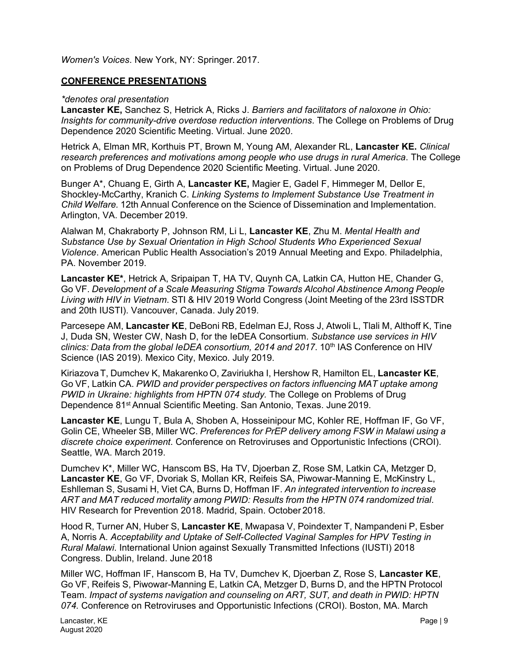*Women's Voices*. New York, NY: Springer. 2017.

# **CONFERENCE PRESENTATIONS**

#### *\*denotes oral presentation*

**Lancaster KE,** Sanchez S, Hetrick A, Ricks J. *Barriers and facilitators of naloxone in Ohio: Insights for community-drive overdose reduction interventions*. The College on Problems of Drug Dependence 2020 Scientific Meeting. Virtual. June 2020.

Hetrick A, Elman MR, Korthuis PT, Brown M, Young AM, Alexander RL, **Lancaster KE.** *Clinical research preferences and motivations among people who use drugs in rural America*. The College on Problems of Drug Dependence 2020 Scientific Meeting. Virtual. June 2020.

Bunger A\*, Chuang E, Girth A, **Lancaster KE,** Magier E, Gadel F, Himmeger M, Dellor E, Shockley-McCarthy, Kranich C. *Linking Systems to Implement Substance Use Treatment in Child Welfare.* 12th Annual Conference on the Science of Dissemination and Implementation. Arlington, VA. December 2019.

Alalwan M, Chakraborty P, Johnson RM, Li L, **Lancaster KE**, Zhu M. *Mental Health and Substance Use by Sexual Orientation in High School Students Who Experienced Sexual Violence*. American Public Health Association's 2019 Annual Meeting and Expo. Philadelphia, PA. November 2019.

**Lancaster KE\***, Hetrick A, Sripaipan T, HA TV, Quynh CA, Latkin CA, Hutton HE, Chander G, Go VF. *Development of a Scale Measuring Stigma Towards Alcohol Abstinence Among People Living with HIV in Vietnam*. STI & HIV 2019 World Congress (Joint Meeting of the 23rd ISSTDR and 20th IUSTI). Vancouver, Canada. July 2019.

Parcesepe AM, **Lancaster KE**, DeBoni RB, Edelman EJ, Ross J, Atwoli L, Tlali M, Althoff K, Tine J, Duda SN, Wester CW, Nash D, for the IeDEA Consortium. *Substance use services in HIV clinics: Data from the global IeDEA consortium, 2014 and 2017*. 10th IAS Conference on HIV Science (IAS 2019). Mexico City, Mexico. July 2019.

KiriazovaT, Dumchev K, Makarenko O, Zaviriukha I, Hershow R, Hamilton EL, **Lancaster KE**, Go VF, Latkin CA. *PWID and provider perspectives on factors influencing MAT uptake among PWID in Ukraine: highlights from HPTN 074 study.* The College on Problems of Drug Dependence 81st Annual Scientific Meeting. San Antonio, Texas. June 2019.

**Lancaster KE**, Lungu T, Bula A, Shoben A, Hosseinipour MC, Kohler RE, Hoffman IF, Go VF, Golin CE, Wheeler SB, Miller WC. *Preferences for PrEP delivery among FSW in Malawi using a discrete choice experiment*. Conference on Retroviruses and Opportunistic Infections (CROI). Seattle, WA. March 2019.

Dumchev K\*, Miller WC, Hanscom BS, Ha TV, Djoerban Z, Rose SM, Latkin CA, Metzger D, **Lancaster KE**, Go VF, Dvoriak S, Mollan KR, Reifeis SA, Piwowar-Manning E, McKinstry L, Eshlleman S, Susami H, Viet CA, Burns D, Hoffman IF. *An integrated intervention to increase ART and MAT reduced mortality among PWID: Results from the HPTN 074 randomized trial*. HIV Research for Prevention 2018. Madrid, Spain. October 2018.

Hood R, Turner AN, Huber S, **Lancaster KE**, Mwapasa V, Poindexter T, Nampandeni P, Esber A, Norris A. *Acceptability and Uptake of Self-Collected Vaginal Samples for HPV Testing in Rural Malawi*. International Union against Sexually Transmitted Infections (IUSTI) 2018 Congress. Dublin, Ireland. June 2018

Miller WC, Hoffman IF, Hanscom B, Ha TV, Dumchev K, Djoerban Z, Rose S, **Lancaster KE**, Go VF, Reifeis S, Piwowar-Manning E, Latkin CA, Metzger D, Burns D, and the HPTN Protocol Team. *Impact of systems navigation and counseling on ART, SUT, and death in PWID: HPTN 074.* Conference on Retroviruses and Opportunistic Infections (CROI). Boston, MA. March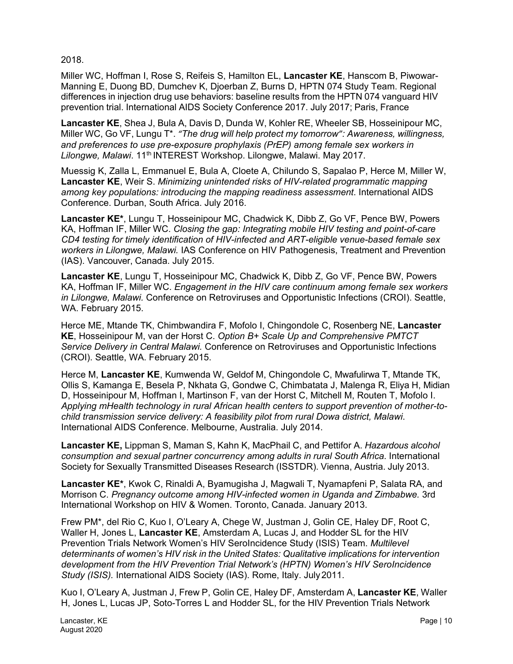2018.

Miller WC, Hoffman I, Rose S, Reifeis S, Hamilton EL, **Lancaster KE**, Hanscom B, Piwowar-Manning E, Duong BD, Dumchev K, Djoerban Z, Burns D, HPTN 074 Study Team. Regional differences in injection drug use behaviors: baseline results from the HPTN 074 vanguard HIV prevention trial. International AIDS Society Conference 2017. July 2017; Paris, France

**Lancaster KE**, Shea J, Bula A, Davis D, Dunda W, Kohler RE, Wheeler SB, Hosseinipour MC, Miller WC, Go VF, Lungu T\*. *"The drug will help protect my tomorrow": Awareness, willingness, and preferences to use pre-exposure prophylaxis (PrEP) among female sex workers in Lilongwe, Malawi*. 11th INTEREST Workshop. Lilongwe, Malawi. May 2017.

Muessig K, Zalla L, Emmanuel E, Bula A, Cloete A, Chilundo S, Sapalao P, Herce M, Miller W, **Lancaster KE**, Weir S. *Minimizing unintended risks of HIV-related programmatic mapping among key populations: introducing the mapping readiness assessment*. International AIDS Conference. Durban, South Africa. July 2016.

**Lancaster KE\***, Lungu T, Hosseinipour MC, Chadwick K, Dibb Z, Go VF, Pence BW, Powers KA, Hoffman IF, Miller WC. *Closing the gap: Integrating mobile HIV testing and point-of-care CD4 testing for timely identification of HIV-infected and ART-eligible venue-based female sex workers in Lilongwe, Malawi.* IAS Conference on HIV Pathogenesis, Treatment and Prevention (IAS). Vancouver, Canada. July 2015.

**Lancaster KE**, Lungu T, Hosseinipour MC, Chadwick K, Dibb Z, Go VF, Pence BW, Powers KA, Hoffman IF, Miller WC. *Engagement in the HIV care continuum among female sex workers in Lilongwe, Malawi.* Conference on Retroviruses and Opportunistic Infections (CROI). Seattle, WA. February 2015.

Herce ME, Mtande TK, Chimbwandira F, Mofolo I, Chingondole C, Rosenberg NE, **Lancaster KE**, Hosseinipour M, van der Horst C. *Option B+ Scale Up and Comprehensive PMTCT Service Delivery in Central Malawi.* Conference on Retroviruses and Opportunistic Infections (CROI). Seattle, WA. February 2015.

Herce M, **Lancaster KE**, Kumwenda W, Geldof M, Chingondole C, Mwafulirwa T, Mtande TK, Ollis S, Kamanga E, Besela P, Nkhata G, Gondwe C, Chimbatata J, Malenga R, Eliya H, Midian D, Hosseinipour M, Hoffman I, Martinson F, van der Horst C, Mitchell M, Routen T, Mofolo I. *Applying mHealth technology in rural African health centers to support prevention of mother-tochild transmission service delivery: A feasibility pilot from rural Dowa district, Malawi*. International AIDS Conference. Melbourne, Australia. July 2014.

**Lancaster KE,** Lippman S, Maman S, Kahn K, MacPhail C, and Pettifor A. *Hazardous alcohol consumption and sexual partner concurrency among adults in rural South Africa.* International Society for Sexually Transmitted Diseases Research (ISSTDR). Vienna, Austria. July 2013.

**Lancaster KE\***, Kwok C, Rinaldi A, Byamugisha J, Magwali T, Nyamapfeni P, Salata RA, and Morrison C. *Pregnancy outcome among HIV-infected women in Uganda and Zimbabwe.* 3rd International Workshop on HIV & Women. Toronto, Canada. January 2013.

Frew PM\*, del Rio C, Kuo I, O'Leary A, Chege W, Justman J, Golin CE, Haley DF, Root C, Waller H, Jones L, **Lancaster KE**, Amsterdam A, Lucas J, and Hodder SL for the HIV Prevention Trials Network Women's HIV SeroIncidence Study (ISIS) Team. *Multilevel determinants of women's HIV risk in the United States: Qualitative implications for intervention development from the HIV Prevention Trial Network's (HPTN) Women's HIV SeroIncidence Study (ISIS).* International AIDS Society (IAS). Rome, Italy. July2011.

Kuo I, O'Leary A, Justman J, Frew P, Golin CE, Haley DF, Amsterdam A, **Lancaster KE**, Waller H, Jones L, Lucas JP, Soto-Torres L and Hodder SL, for the HIV Prevention Trials Network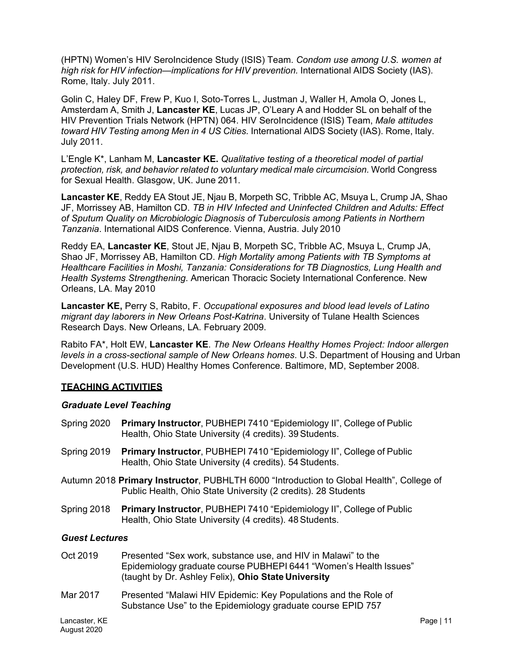(HPTN) Women's HIV SeroIncidence Study (ISIS) Team. *Condom use among U.S. women at high risk for HIV infection—implications for HIV prevention.* International AIDS Society (IAS). Rome, Italy. July 2011.

Golin C, Haley DF, Frew P, Kuo I, Soto-Torres L, Justman J, Waller H, Amola O, Jones L, Amsterdam A, Smith J, **Lancaster KE**, Lucas JP, O'Leary A and Hodder SL on behalf of the HIV Prevention Trials Network (HPTN) 064. HIV SeroIncidence (ISIS) Team, *Male attitudes toward HIV Testing among Men in 4 US Cities.* International AIDS Society (IAS). Rome, Italy. July 2011.

L'Engle K\*, Lanham M, **Lancaster KE.** *Qualitative testing of a theoretical model of partial protection, risk, and behavior related to voluntary medical male circumcision.* World Congress for Sexual Health. Glasgow, UK. June 2011.

**Lancaster KE**, Reddy EA Stout JE, Njau B, Morpeth SC, Tribble AC, Msuya L, Crump JA, Shao JF, Morrissey AB, Hamilton CD. *TB in HIV Infected and Uninfected Children and Adults: Effect of Sputum Quality on Microbiologic Diagnosis of Tuberculosis among Patients in Northern Tanzania*. International AIDS Conference. Vienna, Austria. July 2010

Reddy EA, **Lancaster KE**, Stout JE, Njau B, Morpeth SC, Tribble AC, Msuya L, Crump JA, Shao JF, Morrissey AB, Hamilton CD. *High Mortality among Patients with TB Symptoms at Healthcare Facilities in Moshi, Tanzania: Considerations for TB Diagnostics, Lung Health and Health Systems Strengthening*. American Thoracic Society International Conference. New Orleans, LA. May 2010

**Lancaster KE,** Perry S, Rabito, F. *Occupational exposures and blood lead levels of Latino migrant day laborers in New Orleans Post-Katrina*. University of Tulane Health Sciences Research Days. New Orleans, LA. February 2009.

Rabito FA\*, Holt EW, **Lancaster KE**. *The New Orleans Healthy Homes Project: Indoor allergen levels in a cross-sectional sample of New Orleans homes*. U.S. Department of Housing and Urban Development (U.S. HUD) Healthy Homes Conference. Baltimore, MD, September 2008.

# **TEACHING ACTIVITIES**

#### *Graduate Level Teaching*

- Spring 2020 **Primary Instructor**, PUBHEPI 7410 "Epidemiology II", College of Public Health, Ohio State University (4 credits). 39Students.
- Spring 2019 **Primary Instructor**, PUBHEPI 7410 "Epidemiology II", College of Public Health, Ohio State University (4 credits). 54Students.
- Autumn 2018 **Primary Instructor**, PUBHLTH 6000 "Introduction to Global Health", College of Public Health, Ohio State University (2 credits). 28 Students
- Spring 2018 **Primary Instructor**, PUBHEPI 7410 "Epidemiology II", College of Public Health, Ohio State University (4 credits). 48Students.

#### *Guest Lectures*

- Oct 2019 Presented "Sex work, substance use, and HIV in Malawi" to the Epidemiology graduate course PUBHEPI 6441 "Women's Health Issues" (taught by Dr. Ashley Felix), **Ohio State University**
- Mar 2017 Presented "Malawi HIV Epidemic: Key Populations and the Role of Substance Use" to the Epidemiology graduate course EPID 757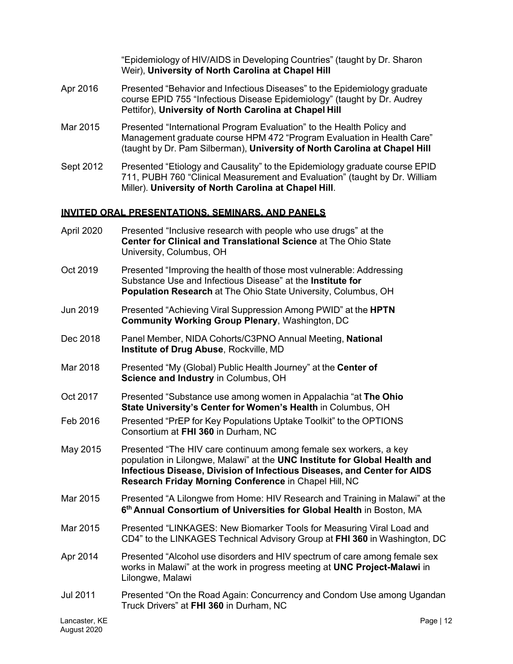"Epidemiology of HIV/AIDS in Developing Countries" (taught by Dr. Sharon Weir), **University of North Carolina at Chapel Hill**

- Apr 2016 Presented "Behavior and Infectious Diseases" to the Epidemiology graduate course EPID 755 "Infectious Disease Epidemiology" (taught by Dr. Audrey Pettifor), **University of North Carolina at Chapel Hill**
- Mar 2015 Presented "International Program Evaluation" to the Health Policy and Management graduate course HPM 472 "Program Evaluation in Health Care" (taught by Dr. Pam Silberman), **University of North Carolina at Chapel Hill**
- Sept 2012 Presented "Etiology and Causality" to the Epidemiology graduate course EPID 711, PUBH 760 "Clinical Measurement and Evaluation" (taught by Dr. William Miller). **University of North Carolina at Chapel Hill**.

# **INVITED ORAL PRESENTATIONS, SEMINARS, AND PANELS**

- April 2020 Presented "Inclusive research with people who use drugs" at the **Center for Clinical and Translational Science** at The Ohio State University, Columbus, OH
- Oct 2019 Presented "Improving the health of those most vulnerable: Addressing Substance Use and Infectious Disease" at the **Institute for Population Research** at The Ohio State University, Columbus, OH
- Jun 2019 Presented "Achieving Viral Suppression Among PWID" at the **HPTN Community Working Group Plenary**, Washington, DC
- Dec 2018 Panel Member, NIDA Cohorts/C3PNO Annual Meeting, **National Institute of Drug Abuse**, Rockville, MD
- Mar 2018 Presented "My (Global) Public Health Journey" at the **Center of Science and Industry** in Columbus, OH
- Oct 2017 Presented "Substance use among women in Appalachia "at **The Ohio State University's Center for Women's Health** in Columbus, OH
- Feb 2016 Presented "PrEP for Key Populations Uptake Toolkit" to the OPTIONS Consortium at **FHI 360** in Durham, NC
- May 2015 Presented "The HIV care continuum among female sex workers, a key population in Lilongwe, Malawi" at the **UNC Institute for Global Health and Infectious Disease, Division of Infectious Diseases, and Center for AIDS Research Friday Morning Conference** in Chapel Hill, NC
- Mar 2015 Presented "A Lilongwe from Home: HIV Research and Training in Malawi" at the **6th Annual Consortium of Universities for Global Health** in Boston, MA
- Mar 2015 Presented "LINKAGES: New Biomarker Tools for Measuring Viral Load and CD4" to the LINKAGES Technical Advisory Group at **FHI 360** in Washington, DC
- Apr 2014 Presented "Alcohol use disorders and HIV spectrum of care among female sex works in Malawi" at the work in progress meeting at **UNC Project-Malawi** in Lilongwe, Malawi
- Jul 2011 Presented "On the Road Again: Concurrency and Condom Use among Ugandan Truck Drivers" at **FHI 360** in Durham, NC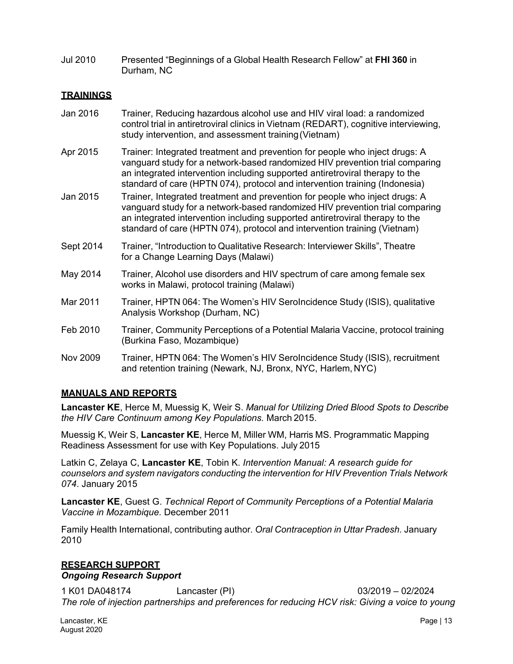Jul 2010 Presented "Beginnings of a Global Health Research Fellow" at **FHI 360** in Durham, NC

# **TRAININGS**

- Jan 2016 Trainer, Reducing hazardous alcohol use and HIV viral load: a randomized control trial in antiretroviral clinics in Vietnam (REDART), cognitive interviewing, study intervention, and assessment training(Vietnam)
- Apr 2015 Trainer: Integrated treatment and prevention for people who inject drugs: A vanguard study for a network-based randomized HIV prevention trial comparing an integrated intervention including supported antiretroviral therapy to the standard of care (HPTN 074), protocol and intervention training (Indonesia)
- Jan 2015 Trainer, Integrated treatment and prevention for people who inject drugs: A vanguard study for a network-based randomized HIV prevention trial comparing an integrated intervention including supported antiretroviral therapy to the standard of care (HPTN 074), protocol and intervention training (Vietnam)
- Sept 2014 Trainer, "Introduction to Qualitative Research: Interviewer Skills", Theatre for a Change Learning Days (Malawi)
- May 2014 Trainer, Alcohol use disorders and HIV spectrum of care among female sex works in Malawi, protocol training (Malawi)
- Mar 2011 Trainer, HPTN 064: The Women's HIV SeroIncidence Study (ISIS), qualitative Analysis Workshop (Durham, NC)
- Feb 2010 Trainer, Community Perceptions of a Potential Malaria Vaccine, protocol training (Burkina Faso, Mozambique)
- Nov 2009 Trainer, HPTN 064: The Women's HIV SeroIncidence Study (ISIS), recruitment and retention training (Newark, NJ, Bronx, NYC, Harlem, NYC)

#### **MANUALS AND REPORTS**

**Lancaster KE**, Herce M, Muessig K, Weir S. *Manual for Utilizing Dried Blood Spots to Describe the HIV Care Continuum among Key Populations.* March 2015.

Muessig K, Weir S, **Lancaster KE**, Herce M, Miller WM, Harris MS. Programmatic Mapping Readiness Assessment for use with Key Populations. July 2015

Latkin C, Zelaya C, **Lancaster KE**, Tobin K. *Intervention Manual: A research guide for counselors and system navigators conducting the intervention for HIV Prevention Trials Network 074*. January 2015

**Lancaster KE**, Guest G. *Technical Report of Community Perceptions of a Potential Malaria Vaccine in Mozambique.* December 2011

Family Health International, contributing author*. Oral Contraception in Uttar Pradesh.* January 2010

#### **RESEARCH SUPPORT**

#### *Ongoing Research Support*

1 K01 DA048174 Lancaster (PI) 03/2019 – 02/2024 *The role of injection partnerships and preferences for reducing HCV risk: Giving a voice to young*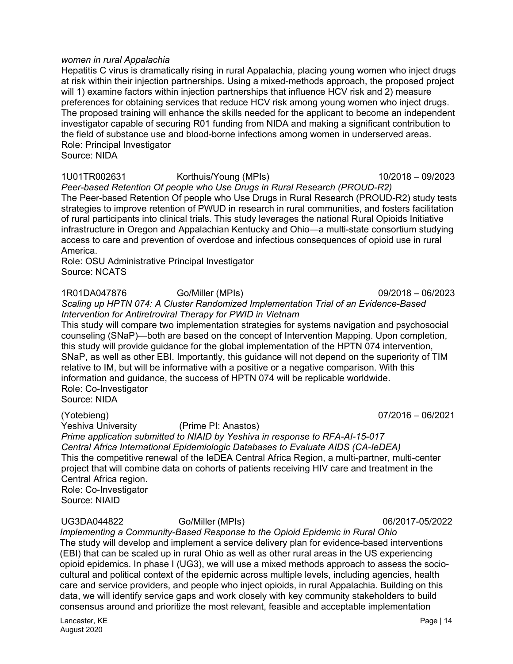#### *women in rural Appalachia*

Hepatitis C virus is dramatically rising in rural Appalachia, placing young women who inject drugs at risk within their injection partnerships. Using a mixed-methods approach, the proposed project will 1) examine factors within injection partnerships that influence HCV risk and 2) measure preferences for obtaining services that reduce HCV risk among young women who inject drugs. The proposed training will enhance the skills needed for the applicant to become an independent investigator capable of securing R01 funding from NIDA and making a significant contribution to the field of substance use and blood-borne infections among women in underserved areas. Role: Principal Investigator

Source: NIDA

1U01TR002631 Korthuis/Young (MPIs) 10/2018 – 09/2023

*Peer-based Retention Of people who Use Drugs in Rural Research (PROUD-R2)* The Peer-based Retention Of people who Use Drugs in Rural Research (PROUD-R2) study tests strategies to improve retention of PWUD in research in rural communities, and fosters facilitation of rural participants into clinical trials. This study leverages the national Rural Opioids Initiative infrastructure in Oregon and Appalachian Kentucky and Ohio—a multi-state consortium studying access to care and prevention of overdose and infectious consequences of opioid use in rural America.

Role: OSU Administrative Principal Investigator Source: NCATS

1R01DA047876 Go/Miller (MPIs) 09/2018 – 06/2023 *Scaling up HPTN 074: A Cluster Randomized Implementation Trial of an Evidence-Based Intervention for Antiretroviral Therapy for PWID in Vietnam*

This study will compare two implementation strategies for systems navigation and psychosocial counseling (SNaP)—both are based on the concept of Intervention Mapping. Upon completion, this study will provide guidance for the global implementation of the HPTN 074 intervention, SNaP, as well as other EBI. Importantly, this guidance will not depend on the superiority of TIM relative to IM, but will be informative with a positive or a negative comparison. With this information and guidance, the success of HPTN 074 will be replicable worldwide. Role: Co-Investigator

Source: NIDA

(Yotebieng) 07/2016 – 06/2021 (Prime PI: Anastos)

*Prime application submitted to NIAID by Yeshiva in response to RFA-AI-15-017 Central Africa International Epidemiologic Databases to Evaluate AIDS (CA-IeDEA)* This the competitive renewal of the IeDEA Central Africa Region, a multi-partner, multi-center project that will combine data on cohorts of patients receiving HIV care and treatment in the Central Africa region. Role: Co-Investigator

Source: NIAID

# UG3DA044822 Go/Miller (MPIs) 06/2017-05/2022

*Implementing a Community-Based Response to the Opioid Epidemic in Rural Ohio* The study will develop and implement a service delivery plan for evidence-based interventions (EBI) that can be scaled up in rural Ohio as well as other rural areas in the US experiencing opioid epidemics. In phase I (UG3), we will use a mixed methods approach to assess the sociocultural and political context of the epidemic across multiple levels, including agencies, health care and service providers, and people who inject opioids, in rural Appalachia. Building on this data, we will identify service gaps and work closely with key community stakeholders to build consensus around and prioritize the most relevant, feasible and acceptable implementation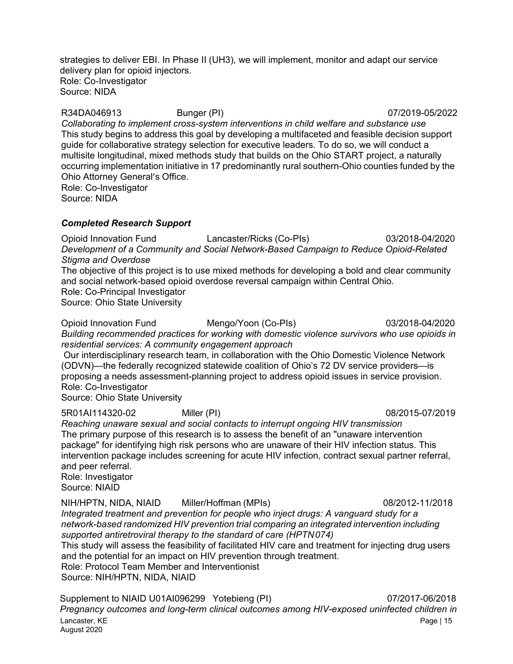strategies to deliver EBI. In Phase II (UH3), we will implement, monitor and adapt our service delivery plan for opioid injectors. Role: Co-Investigator Source: NIDA

R34DA046913 Bunger (PI) 07/2019-05/2022 *Collaborating to implement cross-system interventions in child welfare and substance use* This study begins to address this goal by developing a multifaceted and feasible decision support guide for collaborative strategy selection for executive leaders. To do so, we will conduct a multisite longitudinal, mixed methods study that builds on the Ohio START project, a naturally occurring implementation initiative in 17 predominantly rural southern-Ohio counties funded by the Ohio Attorney General's Office. Role: Co-Investigator

Source: NIDA

#### *Completed Research Support*

Opioid Innovation Fund Lancaster/Ricks (Co-PIs) 03/2018-04/2020 *Development of a Community and Social Network-Based Campaign to Reduce Opioid-Related Stigma and Overdose*

The objective of this project is to use mixed methods for developing a bold and clear community and social network-based opioid overdose reversal campaign within Central Ohio. Role: Co-Principal Investigator

Source: Ohio State University

Opioid Innovation Fund Mengo/Yoon (Co-PIs) 03/2018-04/2020 *Building recommended practices for working with domestic violence survivors who use opioids in residential services: A community engagement approach*

Our interdisciplinary research team, in collaboration with the Ohio Domestic Violence Network (ODVN)—the federally recognized statewide coalition of Ohio's 72 DV service providers—is proposing a needs assessment-planning project to address opioid issues in service provision. Role: Co-Investigator

Source: Ohio State University

5R01AI114320-02 Miller (PI) 08/2015-07/2019 *Reaching unaware sexual and social contacts to interrupt ongoing HIV transmission* The primary purpose of this research is to assess the benefit of an "unaware intervention package" for identifying high risk persons who are unaware of their HIV infection status. This intervention package includes screening for acute HIV infection, contract sexual partner referral, and peer referral. Role: Investigator Source: NIAID

NIH/HPTN, NIDA, NIAID Miller/Hoffman (MPIs) 08/2012-11/2018 *Integrated treatment and prevention for people who inject drugs: A vanguard study for a network-based randomized HIV prevention trial comparing an integrated intervention including supported antiretroviral therapy to the standard of care (HPTN074)*

This study will assess the feasibility of facilitated HIV care and treatment for injecting drug users and the potential for an impact on HIV prevention through treatment. Role: Protocol Team Member and Interventionist Source: NIH/HPTN, NIDA, NIAID

Lancaster, KE Page | 15 August 2020 Supplement to NIAID U01AI096299 Yotebieng (PI) 07/2017-06/2018 *Pregnancy outcomes and long-term clinical outcomes among HIV-exposed uninfected children in*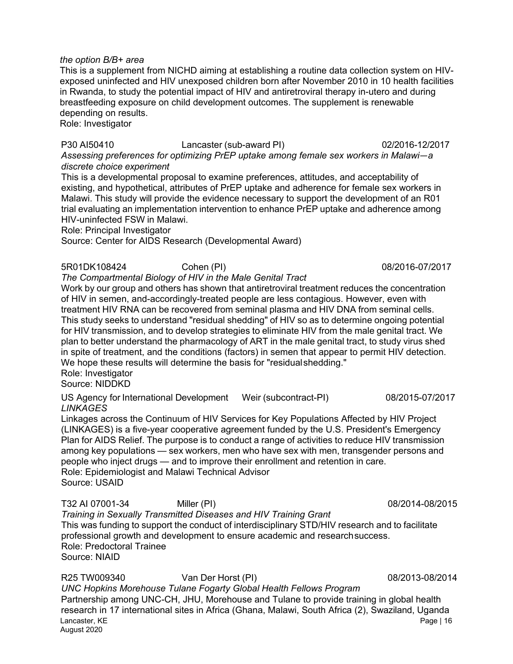#### *the option B/B+ area*

This is a supplement from NICHD aiming at establishing a routine data collection system on HIVexposed uninfected and HIV unexposed children born after November 2010 in 10 health facilities in Rwanda, to study the potential impact of HIV and antiretroviral therapy in-utero and during breastfeeding exposure on child development outcomes. The supplement is renewable depending on results.

Role: Investigator

P30 AI50410 Lancaster (sub-award PI) 02/2016-12/2017 *Assessing preferences for optimizing PrEP uptake among female sex workers in Malawi—a discrete choice experiment*

This is a developmental proposal to examine preferences, attitudes, and acceptability of existing, and hypothetical, attributes of PrEP uptake and adherence for female sex workers in Malawi. This study will provide the evidence necessary to support the development of an R01 trial evaluating an implementation intervention to enhance PrEP uptake and adherence among HIV-uninfected FSW in Malawi.

Role: Principal Investigator

Source: Center for AIDS Research (Developmental Award)

5R01DK108424 Cohen (PI) 08/2016-07/2017

# *The Compartmental Biology of HIV in the Male Genital Tract*

Work by our group and others has shown that antiretroviral treatment reduces the concentration of HIV in semen, and-accordingly-treated people are less contagious. However, even with treatment HIV RNA can be recovered from seminal plasma and HIV DNA from seminal cells. This study seeks to understand "residual shedding" of HIV so as to determine ongoing potential for HIV transmission, and to develop strategies to eliminate HIV from the male genital tract. We plan to better understand the pharmacology of ART in the male genital tract, to study virus shed in spite of treatment, and the conditions (factors) in semen that appear to permit HIV detection. We hope these results will determine the basis for "residualshedding."

Role: Investigator Source: NIDDKD

US Agency for International Development Weir (subcontract-PI) 08/2015-07/2017 *LINKAGES*

Linkages across the Continuum of HIV Services for Key Populations Affected by HIV Project (LINKAGES) is a five-year cooperative agreement funded by the U.S. President's Emergency Plan for AIDS Relief. The purpose is to conduct a range of activities to reduce HIV transmission among key populations — sex workers, men who have sex with men, transgender persons and people who inject drugs — and to improve their enrollment and retention in care. Role: Epidemiologist and Malawi Technical Advisor Source: USAID

T32 AI 07001-34 Miller (PI) 08/2014-08/2015

*Training in Sexually Transmitted Diseases and HIV Training Grant* This was funding to support the conduct of interdisciplinary STD/HIV research and to facilitate professional growth and development to ensure academic and researchsuccess. Role: Predoctoral Trainee Source: NIAID

Lancaster, KE Page | 16 August 2020 R25 TW009340 Van Der Horst (PI) 08/2013-08/2014 *UNC Hopkins Morehouse Tulane Fogarty Global Health Fellows Program* Partnership among UNC-CH, JHU, Morehouse and Tulane to provide training in global health research in 17 international sites in Africa (Ghana, Malawi, South Africa (2), Swaziland, Uganda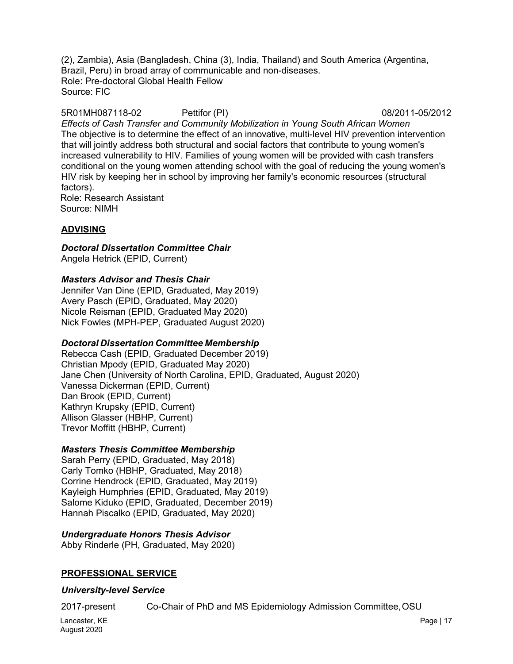(2), Zambia), Asia (Bangladesh, China (3), India, Thailand) and South America (Argentina, Brazil, Peru) in broad array of communicable and non-diseases. Role: Pre-doctoral Global Health Fellow Source: FIC

5R01MH087118-02 Pettifor (PI) 08/2011-05/2012 *Effects of Cash Transfer and Community Mobilization in Young South African Women* The objective is to determine the effect of an innovative, multi-level HIV prevention intervention that will jointly address both structural and social factors that contribute to young women's increased vulnerability to HIV. Families of young women will be provided with cash transfers conditional on the young women attending school with the goal of reducing the young women's HIV risk by keeping her in school by improving her family's economic resources (structural factors). Role: Research Assistant

Source: NIMH

# **ADVISING**

# *Doctoral Dissertation Committee Chair*

Angela Hetrick (EPID, Current)

# *Masters Advisor and Thesis Chair*

Jennifer Van Dine (EPID, Graduated, May 2019) Avery Pasch (EPID, Graduated, May 2020) Nicole Reisman (EPID, Graduated May 2020) Nick Fowles (MPH-PEP, Graduated August 2020)

# *Doctoral Dissertation Committee Membership*

Rebecca Cash (EPID, Graduated December 2019) Christian Mpody (EPID, Graduated May 2020) Jane Chen (University of North Carolina, EPID, Graduated, August 2020) Vanessa Dickerman (EPID, Current) Dan Brook (EPID, Current) Kathryn Krupsky (EPID, Current) Allison Glasser (HBHP, Current) Trevor Moffitt (HBHP, Current)

# *Masters Thesis Committee Membership*

Sarah Perry (EPID, Graduated, May 2018) Carly Tomko (HBHP, Graduated, May 2018) Corrine Hendrock (EPID, Graduated, May 2019) Kayleigh Humphries (EPID, Graduated, May 2019) Salome Kiduko (EPID, Graduated, December 2019) Hannah Piscalko (EPID, Graduated, May 2020)

# *Undergraduate Honors Thesis Advisor*

Abby Rinderle (PH, Graduated, May 2020)

# **PROFESSIONAL SERVICE**

# *University-level Service*

2017-present Co-Chair of PhD and MS Epidemiology Admission Committee,OSU